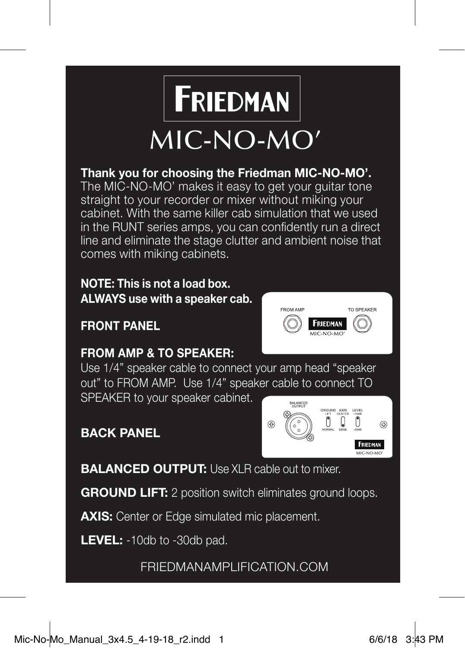

## **Thank you for choosing the Friedman MIC-NO-MO'.**

The MIC-NO-MO' makes it easy to get your guitar tone straight to your recorder or mixer without miking your cabinet. With the same killer cab simulation that we used in the RUNT series amps, you can confidently run a direct line and eliminate the stage clutter and ambient noise that comes with miking cabinets.

### **NOTE: This is not a load box. ALWAYS use with a speaker cab.**

**FRONT PANEL**



# **FROM AMP & TO SPEAKER:**

Use 1/4" speaker cable to connect your amp head "speaker out" to FROM AMP. Use 1/4" speaker cable to connect TO SPEAKER to your speaker cabinet.

## **BACK PANEL**



**BALANCED OUTPUT:** Use XLR cable out to mixer.

**GROUND LIFT:** 2 position switch eliminates ground loops.

**AXIS:** Center or Edge simulated mic placement.

**LEVEL:** -10db to -30db pad.

FRIEDMANAMPLIFICATION.COM